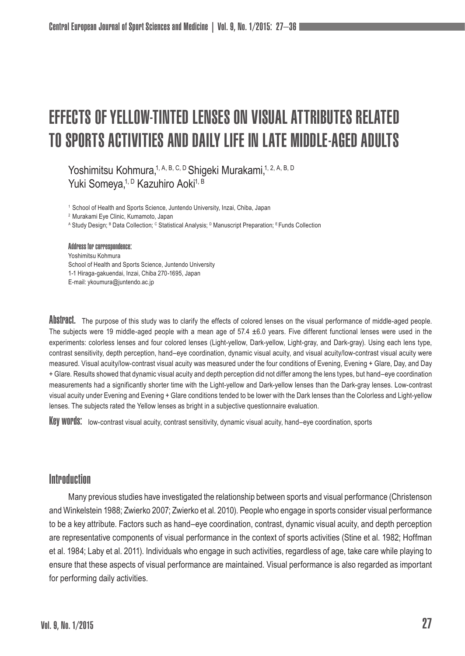# Effects of Yellow-Tinted Lenses on Visual Attributes Related to Sports Activities and Daily Life in Late Middle-aged Adults

Yoshimitsu Kohmura, 1, A, B, C, D Shiqeki Murakami, 1, 2, A, B, D Yuki Someya,<sup>1, D</sup> Kazuhiro Aoki<sup>1, B</sup>

<sup>1</sup> School of Health and Sports Science, Juntendo University, Inzai, Chiba, Japan

<sup>2</sup> Murakami Eye Clinic, Kumamoto, Japan

A Study Design; <sup>в</sup> Data Collection; <sup>с</sup> Statistical Analysis; <sup>в</sup> Manuscript Preparation; <sup>в</sup> Funds Collection

Address for correspondence: Yoshimitsu Kohmura School of Health and Sports Science, Juntendo University 1-1 Hiraga-gakuendai, Inzai, Chiba 270-1695, Japan E-mail: ykoumura@juntendo.ac.jp

ADSTIPACT. The purpose of this study was to clarify the effects of colored lenses on the visual performance of middle-aged people. The subjects were 19 middle-aged people with a mean age of 57.4  $\pm$ 6.0 years. Five different functional lenses were used in the experiments: colorless lenses and four colored lenses (Light-yellow, Dark-yellow, Light-gray, and Dark-gray). Using each lens type, contrast sensitivity, depth perception, hand–eye coordination, dynamic visual acuity, and visual acuity/low-contrast visual acuity were measured. Visual acuity/low-contrast visual acuity was measured under the four conditions of Evening, Evening + Glare, Day, and Day + Glare. Results showed that dynamic visual acuity and depth perception did not differ among the lens types, but hand–eye coordination measurements had a significantly shorter time with the Light-yellow and Dark-yellow lenses than the Dark-gray lenses. Low-contrast visual acuity under Evening and Evening + Glare conditions tended to be lower with the Dark lenses than the Colorless and Light-yellow lenses. The subjects rated the Yellow lenses as bright in a subjective questionnaire evaluation.

Key WOPUS: low-contrast visual acuity, contrast sensitivity, dynamic visual acuity, hand–eye coordination, sports

# **Introduction**

Many previous studies have investigated the relationship between sports and visual performance (Christenson and Winkelstein 1988; Zwierko 2007; Zwierko et al. 2010). People who engage in sports consider visual performance to be a key attribute. Factors such as hand–eye coordination, contrast, dynamic visual acuity, and depth perception are representative components of visual performance in the context of sports activities (Stine et al. 1982; Hoffman et al. 1984; Laby et al. 2011). Individuals who engage in such activities, regardless of age, take care while playing to ensure that these aspects of visual performance are maintained. Visual performance is also regarded as important for performing daily activities.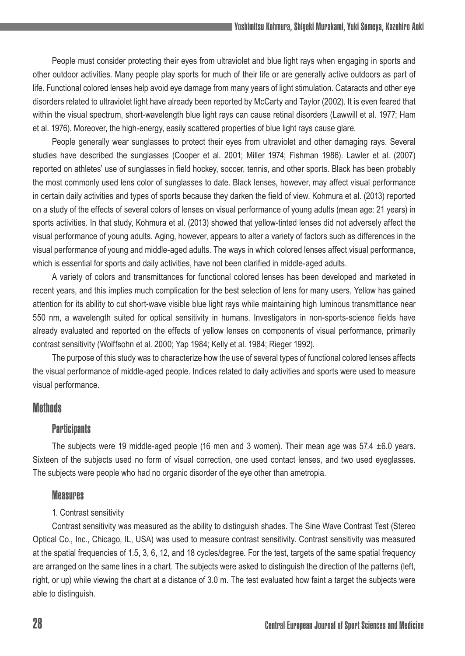People must consider protecting their eyes from ultraviolet and blue light rays when engaging in sports and other outdoor activities. Many people play sports for much of their life or are generally active outdoors as part of life. Functional colored lenses help avoid eye damage from many years of light stimulation. Cataracts and other eye disorders related to ultraviolet light have already been reported by McCarty and Taylor (2002). It is even feared that within the visual spectrum, short-wavelength blue light rays can cause retinal disorders (Lawwill et al. 1977; Ham et al. 1976). Moreover, the high-energy, easily scattered properties of blue light rays cause glare.

People generally wear sunglasses to protect their eyes from ultraviolet and other damaging rays. Several studies have described the sunglasses (Cooper et al. 2001; Miller 1974; Fishman 1986). Lawler et al. (2007) reported on athletes' use of sunglasses in field hockey, soccer, tennis, and other sports. Black has been probably the most commonly used lens color of sunglasses to date. Black lenses, however, may affect visual performance in certain daily activities and types of sports because they darken the field of view. Kohmura et al. (2013) reported on a study of the effects of several colors of lenses on visual performance of young adults (mean age: 21 years) in sports activities. In that study, Kohmura et al. (2013) showed that yellow-tinted lenses did not adversely affect the visual performance of young adults. Aging, however, appears to alter a variety of factors such as differences in the visual performance of young and middle-aged adults. The ways in which colored lenses affect visual performance, which is essential for sports and daily activities, have not been clarified in middle-aged adults.

A variety of colors and transmittances for functional colored lenses has been developed and marketed in recent years, and this implies much complication for the best selection of lens for many users. Yellow has gained attention for its ability to cut short-wave visible blue light rays while maintaining high luminous transmittance near 550 nm, a wavelength suited for optical sensitivity in humans. Investigators in non-sports-science fields have already evaluated and reported on the effects of yellow lenses on components of visual performance, primarily contrast sensitivity (Wolffsohn et al. 2000; Yap 1984; Kelly et al. 1984; Rieger 1992).

The purpose of this study was to characterize how the use of several types of functional colored lenses affects the visual performance of middle-aged people. Indices related to daily activities and sports were used to measure visual performance.

## **Methods**

### **Participants**

The subjects were 19 middle-aged people (16 men and 3 women). Their mean age was 57.4 ±6.0 years. Sixteen of the subjects used no form of visual correction, one used contact lenses, and two used eyeglasses. The subjects were people who had no organic disorder of the eye other than ametropia.

#### **Measures**

#### 1. Contrast sensitivity

Contrast sensitivity was measured as the ability to distinguish shades. The Sine Wave Contrast Test (Stereo Optical Co., Inc., Chicago, IL, USA) was used to measure contrast sensitivity. Contrast sensitivity was measured at the spatial frequencies of 1.5, 3, 6, 12, and 18 cycles/degree. For the test, targets of the same spatial frequency are arranged on the same lines in a chart. The subjects were asked to distinguish the direction of the patterns (left, right, or up) while viewing the chart at a distance of 3.0 m. The test evaluated how faint a target the subjects were able to distinguish.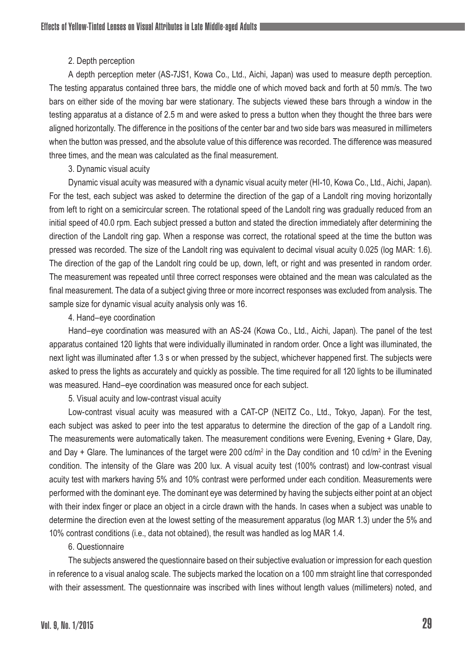#### 2. Depth perception

A depth perception meter (AS-7JS1, Kowa Co., Ltd., Aichi, Japan) was used to measure depth perception. The testing apparatus contained three bars, the middle one of which moved back and forth at 50 mm/s. The two bars on either side of the moving bar were stationary. The subjects viewed these bars through a window in the testing apparatus at a distance of 2.5 m and were asked to press a button when they thought the three bars were aligned horizontally. The difference in the positions of the center bar and two side bars was measured in millimeters when the button was pressed, and the absolute value of this difference was recorded. The difference was measured three times, and the mean was calculated as the final measurement.

#### 3. Dynamic visual acuity

Dynamic visual acuity was measured with a dynamic visual acuity meter (HI-10, Kowa Co., Ltd., Aichi, Japan). For the test, each subject was asked to determine the direction of the gap of a Landolt ring moving horizontally from left to right on a semicircular screen. The rotational speed of the Landolt ring was gradually reduced from an initial speed of 40.0 rpm. Each subject pressed a button and stated the direction immediately after determining the direction of the Landolt ring gap. When a response was correct, the rotational speed at the time the button was pressed was recorded. The size of the Landolt ring was equivalent to decimal visual acuity 0.025 (log MAR: 1.6). The direction of the gap of the Landolt ring could be up, down, left, or right and was presented in random order. The measurement was repeated until three correct responses were obtained and the mean was calculated as the final measurement. The data of a subject giving three or more incorrect responses was excluded from analysis. The sample size for dynamic visual acuity analysis only was 16.

#### 4. Hand–eye coordination

Hand–eye coordination was measured with an AS-24 (Kowa Co., Ltd., Aichi, Japan). The panel of the test apparatus contained 120 lights that were individually illuminated in random order. Once a light was illuminated, the next light was illuminated after 1.3 s or when pressed by the subject, whichever happened first. The subjects were asked to press the lights as accurately and quickly as possible. The time required for all 120 lights to be illuminated was measured. Hand–eye coordination was measured once for each subject.

5. Visual acuity and low-contrast visual acuity

Low-contrast visual acuity was measured with a CAT-CP (NEITZ Co., Ltd., Tokyo, Japan). For the test, each subject was asked to peer into the test apparatus to determine the direction of the gap of a Landolt ring. The measurements were automatically taken. The measurement conditions were Evening, Evening + Glare, Day, and Day + Glare. The luminances of the target were 200 cd/m² in the Day condition and 10 cd/m² in the Evening condition. The intensity of the Glare was 200 lux. A visual acuity test (100% contrast) and low-contrast visual acuity test with markers having 5% and 10% contrast were performed under each condition. Measurements were performed with the dominant eye. The dominant eye was determined by having the subjects either point at an object with their index finger or place an object in a circle drawn with the hands. In cases when a subject was unable to determine the direction even at the lowest setting of the measurement apparatus (log MAR 1.3) under the 5% and 10% contrast conditions (i.e., data not obtained), the result was handled as log MAR 1.4.

#### 6. Questionnaire

The subjects answered the questionnaire based on their subjective evaluation or impression for each question in reference to a visual analog scale. The subjects marked the location on a 100 mm straight line that corresponded with their assessment. The questionnaire was inscribed with lines without length values (millimeters) noted, and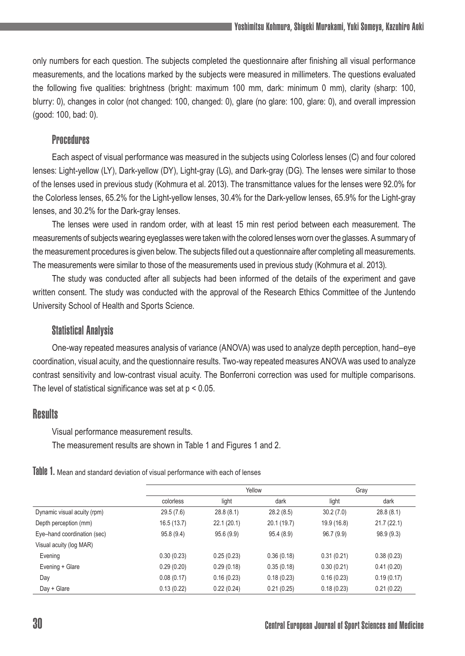only numbers for each question. The subjects completed the questionnaire after finishing all visual performance measurements, and the locations marked by the subjects were measured in millimeters. The questions evaluated the following five qualities: brightness (bright: maximum 100 mm, dark: minimum 0 mm), clarity (sharp: 100, blurry: 0), changes in color (not changed: 100, changed: 0), glare (no glare: 100, glare: 0), and overall impression (good: 100, bad: 0).

## **Procedures**

Each aspect of visual performance was measured in the subjects using Colorless lenses (C) and four colored lenses: Light-yellow (LY), Dark-yellow (DY), Light-gray (LG), and Dark-gray (DG). The lenses were similar to those of the lenses used in previous study (Kohmura et al. 2013). The transmittance values for the lenses were 92.0% for the Colorless lenses, 65.2% for the Light-yellow lenses, 30.4% for the Dark-yellow lenses, 65.9% for the Light-gray lenses, and 30.2% for the Dark-gray lenses.

The lenses were used in random order, with at least 15 min rest period between each measurement. The measurements of subjects wearing eyeglasses were taken with the colored lenses worn over the glasses. A summary of the measurement procedures is given below. The subjects filled out a questionnaire after completing all measurements. The measurements were similar to those of the measurements used in previous study (Kohmura et al. 2013).

The study was conducted after all subjects had been informed of the details of the experiment and gave written consent. The study was conducted with the approval of the Research Ethics Committee of the Juntendo University School of Health and Sports Science.

## Statistical Analysis

One-way repeated measures analysis of variance (ANOVA) was used to analyze depth perception, hand–eye coordination, visual acuity, and the questionnaire results. Two-way repeated measures ANOVA was used to analyze contrast sensitivity and low-contrast visual acuity. The Bonferroni correction was used for multiple comparisons. The level of statistical significance was set at  $p < 0.05$ .

## **Results**

Visual performance measurement results.

The measurement results are shown in Table 1 and Figures 1 and 2.

Table 1. Mean and standard deviation of visual performance with each of lenses

|                             |            | Yellow     |             | Gray        |            |
|-----------------------------|------------|------------|-------------|-------------|------------|
|                             | colorless  | light      | dark        | light       | dark       |
| Dynamic visual acuity (rpm) | 29.5(7.6)  | 28.8(8.1)  | 28.2(8.5)   | 30.2(7.0)   | 28.8(8.1)  |
| Depth perception (mm)       | 16.5(13.7) | 22.1(20.1) | 20.1 (19.7) | 19.9 (16.8) | 21.7(22.1) |
| Eye-hand coordination (sec) | 95.8(9.4)  | 95.6(9.9)  | 95.4(8.9)   | 96.7(9.9)   | 98.9(9.3)  |
| Visual acuity (log MAR)     |            |            |             |             |            |
| Evening                     | 0.30(0.23) | 0.25(0.23) | 0.36(0.18)  | 0.31(0.21)  | 0.38(0.23) |
| Evening + Glare             | 0.29(0.20) | 0.29(0.18) | 0.35(0.18)  | 0.30(0.21)  | 0.41(0.20) |
| Day                         | 0.08(0.17) | 0.16(0.23) | 0.18(0.23)  | 0.16(0.23)  | 0.19(0.17) |
| Day + Glare                 | 0.13(0.22) | 0.22(0.24) | 0.21(0.25)  | 0.18(0.23)  | 0.21(0.22) |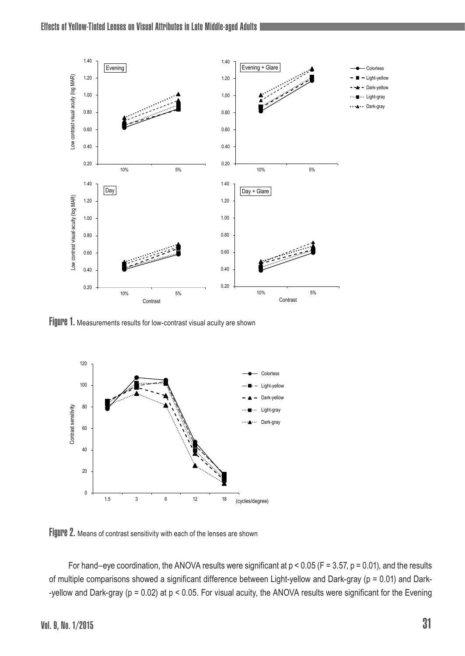

Figure 1. Measurements results for low-contrast visual acuity are shown



Figure 2. Means of contrast sensitivity with each of the lenses are shown

For hand–eye coordination, the ANOVA results were significant at  $p < 0.05$  (F = 3.57,  $p = 0.01$ ), and the results of multiple comparisons showed a significant difference between Light-yellow and Dark-gray (p = 0.01) and Dark- -yellow and Dark-gray (p = 0.02) at p < 0.05. For visual acuity, the ANOVA results were significant for the Evening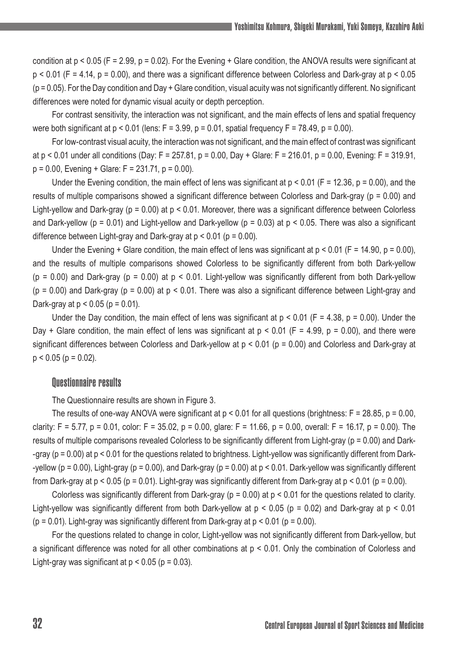condition at  $p < 0.05$  (F = 2.99,  $p = 0.02$ ). For the Evening + Glare condition, the ANOVA results were significant at p < 0.01 (F = 4.14, p = 0.00), and there was a significant difference between Colorless and Dark-gray at p < 0.05  $(p = 0.05)$ . For the Day condition and Day + Glare condition, visual acuity was not significantly different. No significant differences were noted for dynamic visual acuity or depth perception.

For contrast sensitivity, the interaction was not significant, and the main effects of lens and spatial frequency were both significant at  $p < 0.01$  (lens:  $F = 3.99$ ,  $p = 0.01$ , spatial frequency  $F = 78.49$ ,  $p = 0.00$ ).

For low-contrast visual acuity, the interaction was not significant, and the main effect of contrast was significant at  $p < 0.01$  under all conditions (Day: F = 257.81,  $p = 0.00$ , Day + Glare: F = 216.01,  $p = 0.00$ , Evening: F = 319.91,  $p = 0.00$ , Evening + Glare: F = 231.71,  $p = 0.00$ ).

Under the Evening condition, the main effect of lens was significant at  $p < 0.01$  (F = 12.36, p = 0.00), and the results of multiple comparisons showed a significant difference between Colorless and Dark-gray (p = 0.00) and Light-yellow and Dark-gray ( $p = 0.00$ ) at  $p < 0.01$ . Moreover, there was a significant difference between Colorless and Dark-yellow (p = 0.01) and Light-yellow and Dark-yellow (p = 0.03) at  $p < 0.05$ . There was also a significant difference between Light-gray and Dark-gray at  $p < 0.01$  ( $p = 0.00$ ).

Under the Evening + Glare condition, the main effect of lens was significant at  $p < 0.01$  (F = 14.90,  $p = 0.00$ ), and the results of multiple comparisons showed Colorless to be significantly different from both Dark-yellow  $(p = 0.00)$  and Dark-gray ( $p = 0.00$ ) at  $p < 0.01$ . Light-yellow was significantly different from both Dark-yellow  $(p = 0.00)$  and Dark-gray  $(p = 0.00)$  at  $p < 0.01$ . There was also a significant difference between Light-gray and Dark-gray at  $p < 0.05$  ( $p = 0.01$ ).

Under the Day condition, the main effect of lens was significant at  $p \le 0.01$  (F = 4.38,  $p = 0.00$ ). Under the Day + Glare condition, the main effect of lens was significant at  $p < 0.01$  (F = 4.99, p = 0.00), and there were significant differences between Colorless and Dark-yellow at  $p < 0.01$  ( $p = 0.00$ ) and Colorless and Dark-gray at  $p < 0.05$  ( $p = 0.02$ ).

#### Questionnaire results

The Questionnaire results are shown in Figure 3.

The results of one-way ANOVA were significant at  $p < 0.01$  for all questions (brightness:  $F = 28.85$ ,  $p = 0.00$ , clarity: F = 5.77, p = 0.01, color: F = 35.02, p = 0.00, glare: F = 11.66, p = 0.00, overall: F = 16.17, p = 0.00). The results of multiple comparisons revealed Colorless to be significantly different from Light-gray (p = 0.00) and Dark- -gray (p = 0.00) at p < 0.01 for the questions related to brightness. Light-yellow was significantly different from Dark- -yellow ( $p = 0.00$ ), Light-gray ( $p = 0.00$ ), and Dark-gray ( $p = 0.00$ ) at  $p < 0.01$ . Dark-yellow was significantly different from Dark-gray at  $p < 0.05$  ( $p = 0.01$ ). Light-gray was significantly different from Dark-gray at  $p < 0.01$  ( $p = 0.00$ ).

Colorless was significantly different from Dark-gray ( $p = 0.00$ ) at  $p < 0.01$  for the questions related to clarity. Light-yellow was significantly different from both Dark-yellow at  $p < 0.05$  ( $p = 0.02$ ) and Dark-gray at  $p < 0.01$  $(p = 0.01)$ . Light-gray was significantly different from Dark-gray at  $p \le 0.01$  ( $p = 0.00$ ).

For the questions related to change in color, Light-yellow was not significantly different from Dark-yellow, but a significant difference was noted for all other combinations at p < 0.01. Only the combination of Colorless and Light-gray was significant at  $p < 0.05$  ( $p = 0.03$ ).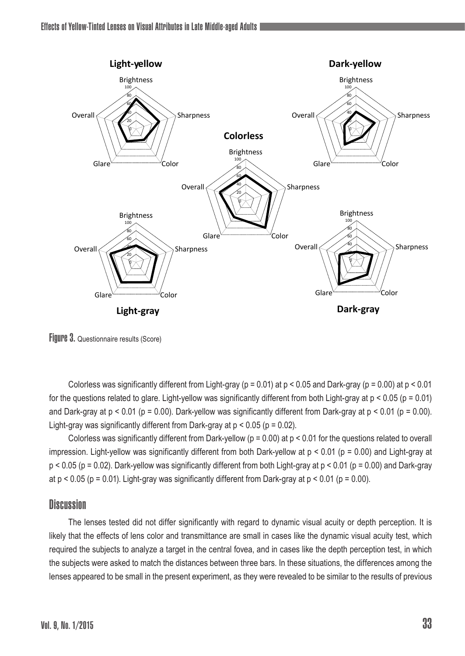

Figure 3. Questionnaire results (Score)

Colorless was significantly different from Light-gray ( $p = 0.01$ ) at  $p < 0.05$  and Dark-gray ( $p = 0.00$ ) at  $p < 0.01$ for the questions related to glare. Light-yellow was significantly different from both Light-gray at  $p < 0.05$  ( $p = 0.01$ ) and Dark-gray at  $p < 0.01$  ( $p = 0.00$ ). Dark-yellow was significantly different from Dark-gray at  $p < 0.01$  ( $p = 0.00$ ). Light-gray was significantly different from Dark-gray at  $p < 0.05$  ( $p = 0.02$ ).

Colorless was significantly different from Dark-yellow ( $p = 0.00$ ) at  $p < 0.01$  for the questions related to overall impression. Light-yellow was significantly different from both Dark-yellow at  $p < 0.01$  ( $p = 0.00$ ) and Light-gray at  $p < 0.05$  (p = 0.02). Dark-yellow was significantly different from both Light-gray at  $p < 0.01$  (p = 0.00) and Dark-gray at  $p < 0.05$  ( $p = 0.01$ ). Light-gray was significantly different from Dark-gray at  $p < 0.01$  ( $p = 0.00$ ).

## **Discussion**

The lenses tested did not differ significantly with regard to dynamic visual acuity or depth perception. It is likely that the effects of lens color and transmittance are small in cases like the dynamic visual acuity test, which required the subjects to analyze a target in the central fovea, and in cases like the depth perception test, in which the subjects were asked to match the distances between three bars. In these situations, the differences among the lenses appeared to be small in the present experiment, as they were revealed to be similar to the results of previous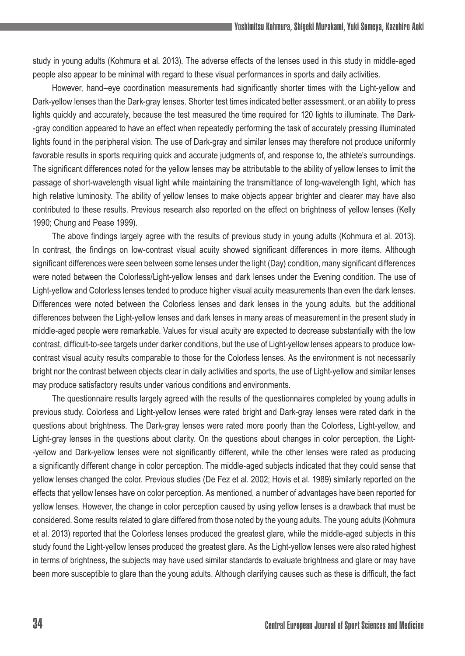study in young adults (Kohmura et al. 2013). The adverse effects of the lenses used in this study in middle-aged people also appear to be minimal with regard to these visual performances in sports and daily activities.

However, hand–eye coordination measurements had significantly shorter times with the Light-yellow and Dark-yellow lenses than the Dark-gray lenses. Shorter test times indicated better assessment, or an ability to press lights quickly and accurately, because the test measured the time required for 120 lights to illuminate. The Dark- -gray condition appeared to have an effect when repeatedly performing the task of accurately pressing illuminated lights found in the peripheral vision. The use of Dark-gray and similar lenses may therefore not produce uniformly favorable results in sports requiring quick and accurate judgments of, and response to, the athlete's surroundings. The significant differences noted for the yellow lenses may be attributable to the ability of yellow lenses to limit the passage of short-wavelength visual light while maintaining the transmittance of long-wavelength light, which has high relative luminosity. The ability of yellow lenses to make objects appear brighter and clearer may have also contributed to these results. Previous research also reported on the effect on brightness of yellow lenses (Kelly 1990; Chung and Pease 1999).

The above findings largely agree with the results of previous study in young adults (Kohmura et al. 2013). In contrast, the findings on low-contrast visual acuity showed significant differences in more items. Although significant differences were seen between some lenses under the light (Day) condition, many significant differences were noted between the Colorless/Light-yellow lenses and dark lenses under the Evening condition. The use of Light-yellow and Colorless lenses tended to produce higher visual acuity measurements than even the dark lenses. Differences were noted between the Colorless lenses and dark lenses in the young adults, but the additional differences between the Light-yellow lenses and dark lenses in many areas of measurement in the present study in middle-aged people were remarkable. Values for visual acuity are expected to decrease substantially with the low contrast, difficult-to-see targets under darker conditions, but the use of Light-yellow lenses appears to produce lowcontrast visual acuity results comparable to those for the Colorless lenses. As the environment is not necessarily bright nor the contrast between objects clear in daily activities and sports, the use of Light-yellow and similar lenses may produce satisfactory results under various conditions and environments.

The questionnaire results largely agreed with the results of the questionnaires completed by young adults in previous study. Colorless and Light-yellow lenses were rated bright and Dark-gray lenses were rated dark in the questions about brightness. The Dark-gray lenses were rated more poorly than the Colorless, Light-yellow, and Light-gray lenses in the questions about clarity. On the questions about changes in color perception, the Light- -yellow and Dark-yellow lenses were not significantly different, while the other lenses were rated as producing a significantly different change in color perception. The middle-aged subjects indicated that they could sense that yellow lenses changed the color. Previous studies (De Fez et al. 2002; Hovis et al. 1989) similarly reported on the effects that yellow lenses have on color perception. As mentioned, a number of advantages have been reported for yellow lenses. However, the change in color perception caused by using yellow lenses is a drawback that must be considered. Some results related to glare differed from those noted by the young adults. The young adults (Kohmura et al. 2013) reported that the Colorless lenses produced the greatest glare, while the middle-aged subjects in this study found the Light-yellow lenses produced the greatest glare. As the Light-yellow lenses were also rated highest in terms of brightness, the subjects may have used similar standards to evaluate brightness and glare or may have been more susceptible to glare than the young adults. Although clarifying causes such as these is difficult, the fact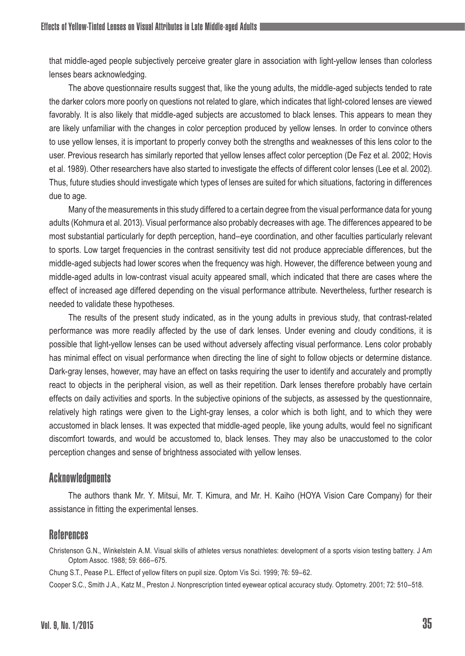that middle-aged people subjectively perceive greater glare in association with light-yellow lenses than colorless lenses bears acknowledging.

The above questionnaire results suggest that, like the young adults, the middle-aged subjects tended to rate the darker colors more poorly on questions not related to glare, which indicates that light-colored lenses are viewed favorably. It is also likely that middle-aged subjects are accustomed to black lenses. This appears to mean they are likely unfamiliar with the changes in color perception produced by yellow lenses. In order to convince others to use yellow lenses, it is important to properly convey both the strengths and weaknesses of this lens color to the user. Previous research has similarly reported that yellow lenses affect color perception (De Fez et al. 2002; Hovis et al. 1989). Other researchers have also started to investigate the effects of different color lenses (Lee et al. 2002). Thus, future studies should investigate which types of lenses are suited for which situations, factoring in differences due to age.

Many of the measurements in this study differed to a certain degree from the visual performance data for young adults (Kohmura et al. 2013). Visual performance also probably decreases with age. The differences appeared to be most substantial particularly for depth perception, hand–eye coordination, and other faculties particularly relevant to sports. Low target frequencies in the contrast sensitivity test did not produce appreciable differences, but the middle-aged subjects had lower scores when the frequency was high. However, the difference between young and middle-aged adults in low-contrast visual acuity appeared small, which indicated that there are cases where the effect of increased age differed depending on the visual performance attribute. Nevertheless, further research is needed to validate these hypotheses.

The results of the present study indicated, as in the young adults in previous study, that contrast-related performance was more readily affected by the use of dark lenses. Under evening and cloudy conditions, it is possible that light-yellow lenses can be used without adversely affecting visual performance. Lens color probably has minimal effect on visual performance when directing the line of sight to follow objects or determine distance. Dark-gray lenses, however, may have an effect on tasks requiring the user to identify and accurately and promptly react to objects in the peripheral vision, as well as their repetition. Dark lenses therefore probably have certain effects on daily activities and sports. In the subjective opinions of the subjects, as assessed by the questionnaire, relatively high ratings were given to the Light-gray lenses, a color which is both light, and to which they were accustomed in black lenses. It was expected that middle-aged people, like young adults, would feel no significant discomfort towards, and would be accustomed to, black lenses. They may also be unaccustomed to the color perception changes and sense of brightness associated with yellow lenses.

## **Acknowledgments**

The authors thank Mr. Y. Mitsui, Mr. T. Kimura, and Mr. H. Kaiho (HOYA Vision Care Company) for their assistance in fitting the experimental lenses.

## References

Christenson G.N., Winkelstein A.M. Visual skills of athletes versus nonathletes: development of a sports vision testing battery. J Am Optom Assoc. 1988; 59: 666–675.

Chung S.T., Pease P.L. Effect of yellow filters on pupil size. Optom Vis Sci. 1999; 76: 59–62.

Cooper S.C., Smith J.A., Katz M., Preston J. Nonprescription tinted eyewear optical accuracy study. Optometry. 2001; 72: 510–518.